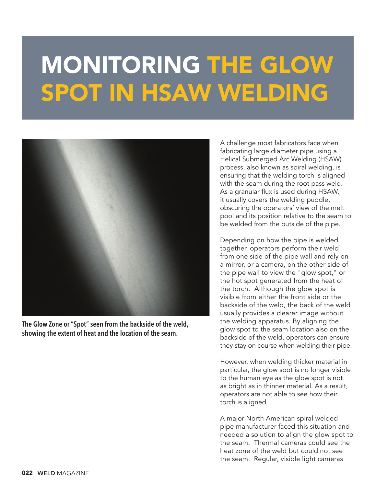## MONITORING THE GLOW SPOT IN HSAW WELDING



**The Glow Zone or "Spot" seen from the backside of the weld, showing the extent of heat and the location of the seam.**

A challenge most fabricators face when fabricating large diameter pipe using a Helical Submerged Arc Welding (HSAW) process, also known as spiral welding, is ensuring that the welding torch is aligned with the seam during the root pass weld. As a granular flux is used during HSAW, it usually covers the welding puddle, obscuring the operators' view of the melt pool and its position relative to the seam to be welded from the outside of the pipe.

Depending on how the pipe is welded together, operators perform their weld from one side of the pipe wall and rely on a mirror, or a camera, on the other side of the pipe wall to view the "glow spot," or the hot spot generated from the heat of the torch. Although the glow spot is visible from either the front side or the backside of the weld, the back of the weld usually provides a clearer image without the welding apparatus. By aligning the glow spot to the seam location also on the backside of the weld, operators can ensure they stay on course when welding their pipe.

However, when welding thicker material in particular, the glow spot is no longer visible to the human eye as the glow spot is not as bright as in thinner material. As a result, operators are not able to see how their torch is aligned.

A major North American spiral welded pipe manufacturer faced this situation and needed a solution to align the glow spot to the seam. Thermal cameras could see the heat zone of the weld but could not see the seam. Regular, visible light cameras